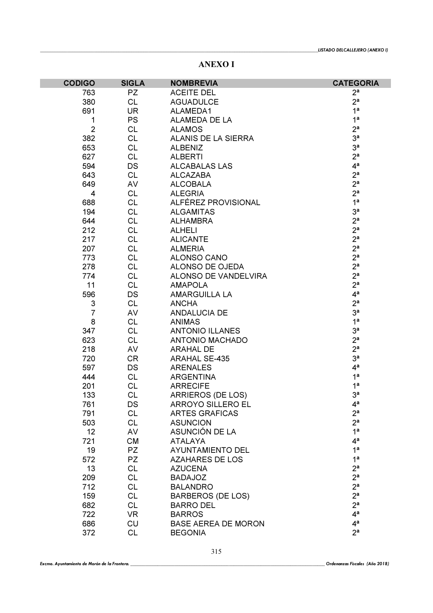ANEXO I

| <b>CODIGO</b>             | <b>SIGLA</b> | <b>NOMBREVIA</b>           | <b>CATEGORIA</b> |
|---------------------------|--------------|----------------------------|------------------|
| 763                       | <b>PZ</b>    | <b>ACEITE DEL</b>          | 2 <sup>a</sup>   |
| 380                       | <b>CL</b>    | <b>AGUADULCE</b>           | 2 <sup>a</sup>   |
| 691                       | <b>UR</b>    | ALAMEDA1                   | 1 <sup>a</sup>   |
| 1                         | <b>PS</b>    | ALAMEDA DE LA              | 1 <sup>a</sup>   |
| $\overline{2}$            | <b>CL</b>    | <b>ALAMOS</b>              | 2 <sup>a</sup>   |
| 382                       | <b>CL</b>    | ALANIS DE LA SIERRA        | 3 <sup>a</sup>   |
| 653                       | <b>CL</b>    | <b>ALBENIZ</b>             | 3 <sup>a</sup>   |
| 627                       | <b>CL</b>    | <b>ALBERTI</b>             | 2 <sup>a</sup>   |
| 594                       | DS           | <b>ALCABALAS LAS</b>       | 4 <sup>a</sup>   |
| 643                       | <b>CL</b>    | <b>ALCAZABA</b>            | 2 <sup>a</sup>   |
| 649                       | AV           | <b>ALCOBALA</b>            | 2 <sup>a</sup>   |
| $\overline{4}$            | <b>CL</b>    | <b>ALEGRIA</b>             | 2 <sup>a</sup>   |
| 688                       | <b>CL</b>    | ALFÉREZ PROVISIONAL        | 1 <sup>a</sup>   |
| 194                       | <b>CL</b>    | <b>ALGAMITAS</b>           | 3 <sup>a</sup>   |
| 644                       | <b>CL</b>    | <b>ALHAMBRA</b>            | 2 <sup>a</sup>   |
| 212                       | <b>CL</b>    | <b>ALHELI</b>              | 2 <sup>a</sup>   |
| 217                       | <b>CL</b>    | <b>ALICANTE</b>            | 2 <sup>a</sup>   |
| 207                       | <b>CL</b>    | <b>ALMERIA</b>             | 2 <sup>a</sup>   |
| 773                       | <b>CL</b>    | ALONSO CANO                | 2 <sup>a</sup>   |
| 278                       | <b>CL</b>    | ALONSO DE OJEDA            | 2 <sup>a</sup>   |
| 774                       | <b>CL</b>    | ALONSO DE VANDELVIRA       | 2 <sup>a</sup>   |
| 11                        | <b>CL</b>    | <b>AMAPOLA</b>             | 2 <sup>a</sup>   |
| 596                       | DS           | <b>AMARGUILLA LA</b>       | 4 <sup>a</sup>   |
| $\ensuremath{\mathsf{3}}$ | <b>CL</b>    | <b>ANCHA</b>               | 2 <sup>a</sup>   |
| $\overline{7}$            | AV           | <b>ANDALUCIA DE</b>        | 3 <sup>a</sup>   |
| 8                         | <b>CL</b>    | <b>ANIMAS</b>              | 1 <sup>a</sup>   |
| 347                       | <b>CL</b>    | <b>ANTONIO ILLANES</b>     | 3 <sup>a</sup>   |
| 623                       | <b>CL</b>    | <b>ANTONIO MACHADO</b>     | 2 <sup>a</sup>   |
| 218                       | AV           | <b>ARAHAL DE</b>           | 2 <sup>a</sup>   |
| 720                       | <b>CR</b>    | <b>ARAHAL SE-435</b>       | 3 <sup>a</sup>   |
| 597                       | DS           | <b>ARENALES</b>            | 4 <sup>a</sup>   |
| 444                       | <b>CL</b>    | <b>ARGENTINA</b>           | 1 <sup>a</sup>   |
| 201                       | <b>CL</b>    | <b>ARRECIFE</b>            | 1 <sup>a</sup>   |
| 133                       | <b>CL</b>    | ARRIEROS (DE LOS)          | 3 <sup>a</sup>   |
| 761                       | DS           | ARROYO SILLERO EL          | $4^a$            |
| 791                       | <b>CL</b>    | <b>ARTES GRAFICAS</b>      | 2 <sup>a</sup>   |
| 503                       | <b>CL</b>    | <b>ASUNCION</b>            | 2 <sup>a</sup>   |
| 12                        | AV           | ASUNCIÓN DE LA             | 1 <sup>a</sup>   |
| 721                       | <b>CM</b>    | <b>ATALAYA</b>             | 4 <sup>a</sup>   |
| 19                        | <b>PZ</b>    | <b>AYUNTAMIENTO DEL</b>    | 1 <sup>a</sup>   |
| 572                       | PZ           | <b>AZAHARES DE LOS</b>     | 1 <sup>a</sup>   |
| 13                        | <b>CL</b>    | <b>AZUCENA</b>             | 2 <sup>a</sup>   |
| 209                       | <b>CL</b>    | <b>BADAJOZ</b>             | 2 <sup>a</sup>   |
| 712                       | <b>CL</b>    | <b>BALANDRO</b>            | 2 <sup>a</sup>   |
| 159                       | <b>CL</b>    | <b>BARBEROS (DE LOS)</b>   | 2 <sup>a</sup>   |
| 682                       | <b>CL</b>    | <b>BARRO DEL</b>           | 2 <sup>a</sup>   |
| 722                       | <b>VR</b>    | <b>BARROS</b>              | 4 <sup>a</sup>   |
| 686                       | <b>CU</b>    | <b>BASE AEREA DE MORON</b> | 4 <sup>a</sup>   |
| 372                       | <b>CL</b>    | <b>BEGONIA</b>             | 2 <sup>a</sup>   |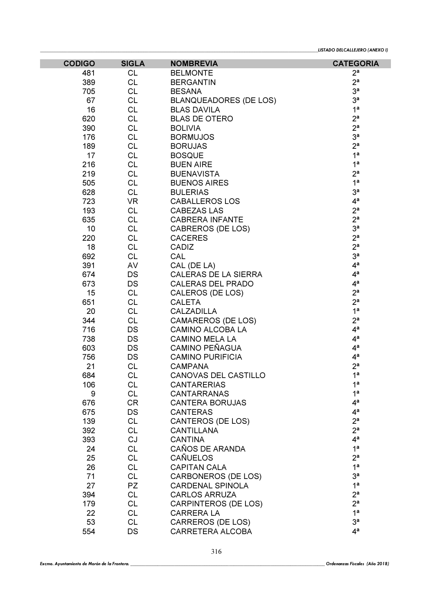| <b>CODIGO</b> | <b>SIGLA</b> | <b>NOMBREVIA</b>              | <b>CATEGORIA</b> |
|---------------|--------------|-------------------------------|------------------|
| 481           | <b>CL</b>    | <b>BELMONTE</b>               | 2 <sup>a</sup>   |
| 389           | <b>CL</b>    | <b>BERGANTIN</b>              | 2 <sup>a</sup>   |
| 705           | <b>CL</b>    | <b>BESANA</b>                 | 3 <sup>a</sup>   |
| 67            | <b>CL</b>    | <b>BLANQUEADORES (DE LOS)</b> | 3 <sup>a</sup>   |
| 16            | <b>CL</b>    | <b>BLAS DAVILA</b>            | 1 <sup>a</sup>   |
| 620           | <b>CL</b>    | <b>BLAS DE OTERO</b>          | 2 <sup>a</sup>   |
| 390           | <b>CL</b>    | <b>BOLIVIA</b>                | 2 <sup>a</sup>   |
| 176           | <b>CL</b>    | <b>BORMUJOS</b>               | 3 <sup>a</sup>   |
| 189           | <b>CL</b>    | <b>BORUJAS</b>                | 2 <sup>a</sup>   |
| 17            | <b>CL</b>    | <b>BOSQUE</b>                 | 1 <sup>a</sup>   |
| 216           | <b>CL</b>    | <b>BUEN AIRE</b>              | 1 <sup>a</sup>   |
| 219           | <b>CL</b>    | <b>BUENAVISTA</b>             | 2 <sup>a</sup>   |
| 505           | <b>CL</b>    | <b>BUENOS AIRES</b>           | 1 <sup>a</sup>   |
| 628           | <b>CL</b>    | <b>BULERIAS</b>               | 3 <sup>a</sup>   |
| 723           | <b>VR</b>    | <b>CABALLEROS LOS</b>         | 4 <sup>a</sup>   |
| 193           | <b>CL</b>    | <b>CABEZAS LAS</b>            | 2 <sup>a</sup>   |
| 635           | <b>CL</b>    | <b>CABRERA INFANTE</b>        | 2 <sup>a</sup>   |
| 10            | <b>CL</b>    | <b>CABREROS (DE LOS)</b>      | 3 <sup>a</sup>   |
| 220           | <b>CL</b>    | <b>CACERES</b>                | 2 <sup>a</sup>   |
| 18            | <b>CL</b>    | CADIZ                         | 2 <sup>a</sup>   |
| 692           | <b>CL</b>    | CAL                           | 3 <sup>a</sup>   |
| 391           | AV           | CAL (DE LA)                   | 4 <sup>a</sup>   |
| 674           | DS           | CALERAS DE LA SIERRA          | 4 <sup>a</sup>   |
| 673           | DS           | <b>CALERAS DEL PRADO</b>      | 4 <sup>a</sup>   |
| 15            | <b>CL</b>    | CALEROS (DE LOS)              | 2 <sup>a</sup>   |
| 651           | <b>CL</b>    | <b>CALETA</b>                 | 2 <sup>a</sup>   |
| 20            | <b>CL</b>    | <b>CALZADILLA</b>             | 1 <sup>a</sup>   |
| 344           | <b>CL</b>    | <b>CAMAREROS (DE LOS)</b>     | 2 <sup>a</sup>   |
| 716           | DS           | <b>CAMINO ALCOBA LA</b>       | 4 <sup>a</sup>   |
| 738           | DS           | <b>CAMINO MELA LA</b>         | 4 <sup>a</sup>   |
| 603           | DS           | <b>CAMINO PEÑAGUA</b>         | 4 <sup>a</sup>   |
| 756           | DS           | <b>CAMINO PURIFICIA</b>       | 4 <sup>a</sup>   |
| 21            | <b>CL</b>    | <b>CAMPANA</b>                | 2 <sup>a</sup>   |
| 684           | <b>CL</b>    | <b>CANOVAS DEL CASTILLO</b>   | 1 <sup>a</sup>   |
| 106           | <b>CL</b>    | <b>CANTARERIAS</b>            | 1 <sup>a</sup>   |
| 9             | <b>CL</b>    | <b>CANTARRANAS</b>            | 1 <sup>a</sup>   |
| 676           | CR           | <b>CANTERA BORUJAS</b>        | 4 <sup>a</sup>   |
| 675           | DS           | <b>CANTERAS</b>               | 4 <sup>a</sup>   |
| 139           | <b>CL</b>    | <b>CANTEROS (DE LOS)</b>      | 2 <sup>a</sup>   |
| 392           | <b>CL</b>    | <b>CANTILLANA</b>             | 2 <sup>a</sup>   |
| 393           | CJ           | <b>CANTINA</b>                | 4 <sup>a</sup>   |
| 24            | <b>CL</b>    | CAÑOS DE ARANDA               | 1 <sup>a</sup>   |
| 25            | <b>CL</b>    | <b>CAÑUELOS</b>               | 2 <sup>a</sup>   |
| 26            | <b>CL</b>    | <b>CAPITAN CALA</b>           | 1 <sup>a</sup>   |
| 71            | <b>CL</b>    | CARBONEROS (DE LOS)           | 3 <sup>a</sup>   |
| 27            | PZ           | <b>CARDENAL SPINOLA</b>       | 1 <sup>a</sup>   |
| 394           | <b>CL</b>    | <b>CARLOS ARRUZA</b>          | 2 <sup>a</sup>   |
| 179           | <b>CL</b>    | CARPINTEROS (DE LOS)          | 2 <sup>a</sup>   |
| 22            | <b>CL</b>    | <b>CARRERA LA</b>             | 1 <sup>a</sup>   |
| 53            | <b>CL</b>    | <b>CARREROS (DE LOS)</b>      | 3 <sup>a</sup>   |
| 554           | DS           | CARRETERA ALCOBA              | 4 <sup>a</sup>   |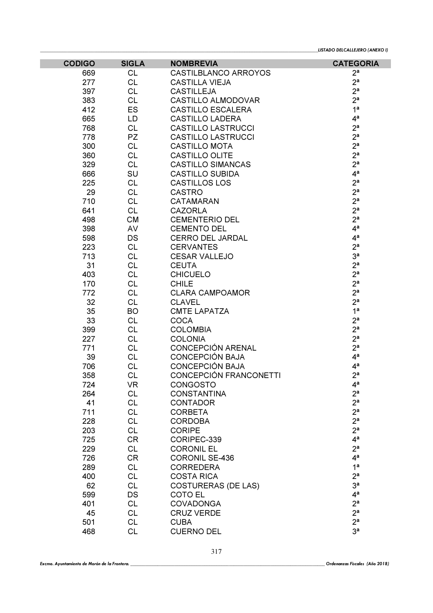| <b>CODIGO</b> | <b>SIGLA</b> | <b>NOMBREVIA</b>            | <b>CATEGORIA</b> |
|---------------|--------------|-----------------------------|------------------|
| 669           | <b>CL</b>    | <b>CASTILBLANCO ARROYOS</b> | $2^a$            |
| 277           | <b>CL</b>    | <b>CASTILLA VIEJA</b>       | 2 <sup>a</sup>   |
| 397           | <b>CL</b>    | <b>CASTILLEJA</b>           | 2 <sup>a</sup>   |
| 383           | <b>CL</b>    | <b>CASTILLO ALMODOVAR</b>   | 2 <sup>a</sup>   |
| 412           | ES           | <b>CASTILLO ESCALERA</b>    | 1 <sup>a</sup>   |
| 665           | LD           | <b>CASTILLO LADERA</b>      | 4 <sup>a</sup>   |
| 768           | <b>CL</b>    | <b>CASTILLO LASTRUCCI</b>   | 2 <sup>a</sup>   |
| 778           | <b>PZ</b>    | <b>CASTILLO LASTRUCCI</b>   | 2 <sup>a</sup>   |
| 300           | <b>CL</b>    | <b>CASTILLO MOTA</b>        | 2 <sup>a</sup>   |
| 360           | <b>CL</b>    | CASTILLO OLITE              | 2 <sup>a</sup>   |
| 329           | <b>CL</b>    | <b>CASTILLO SIMANCAS</b>    | 2 <sup>a</sup>   |
| 666           | SU           | <b>CASTILLO SUBIDA</b>      | 4 <sup>a</sup>   |
| 225           | <b>CL</b>    | <b>CASTILLOS LOS</b>        | 2 <sup>a</sup>   |
| 29            | <b>CL</b>    | <b>CASTRO</b>               | 2 <sup>a</sup>   |
| 710           | <b>CL</b>    | <b>CATAMARAN</b>            | 2 <sup>a</sup>   |
| 641           | <b>CL</b>    | <b>CAZORLA</b>              | 2 <sup>a</sup>   |
| 498           | <b>CM</b>    | <b>CEMENTERIO DEL</b>       | 2 <sup>a</sup>   |
| 398           | AV           | <b>CEMENTO DEL</b>          | 4 <sup>a</sup>   |
| 598           | DS           | <b>CERRO DEL JARDAL</b>     | 4 <sup>a</sup>   |
| 223           | <b>CL</b>    | <b>CERVANTES</b>            | 2 <sup>a</sup>   |
| 713           | <b>CL</b>    | <b>CESAR VALLEJO</b>        | 3 <sup>a</sup>   |
| 31            | <b>CL</b>    | <b>CEUTA</b>                | 2 <sup>a</sup>   |
| 403           | <b>CL</b>    | <b>CHICUELO</b>             | 2 <sup>a</sup>   |
| 170           | <b>CL</b>    | <b>CHILE</b>                | 2 <sup>a</sup>   |
| 772           | <b>CL</b>    | <b>CLARA CAMPOAMOR</b>      | 2 <sup>a</sup>   |
| 32            | <b>CL</b>    | <b>CLAVEL</b>               | 2 <sup>a</sup>   |
| 35            | <b>BO</b>    | <b>CMTE LAPATZA</b>         | 1 <sup>a</sup>   |
| 33            | <b>CL</b>    | <b>COCA</b>                 | 2 <sup>a</sup>   |
| 399           | <b>CL</b>    | <b>COLOMBIA</b>             | 2 <sup>a</sup>   |
| 227           | <b>CL</b>    | <b>COLONIA</b>              | 2 <sup>a</sup>   |
| 771           | <b>CL</b>    | <b>CONCEPCIÓN ARENAL</b>    | 2 <sup>a</sup>   |
| 39            | <b>CL</b>    | <b>CONCEPCIÓN BAJA</b>      | 4 <sup>a</sup>   |
| 706           | <b>CL</b>    | <b>CONCEPCIÓN BAJA</b>      | 4 <sup>a</sup>   |
| 358           | <b>CL</b>    | CONCEPCIÓN FRANCONETTI      | 2 <sup>a</sup>   |
| 724           | VR           | <b>CONGOSTO</b>             | $4^a$            |
| 264           | <b>CL</b>    | <b>CONSTANTINA</b>          | 2 <sup>a</sup>   |
| 41            | <b>CL</b>    | <b>CONTADOR</b>             | 2 <sup>a</sup>   |
| 711           | <b>CL</b>    | <b>CORBETA</b>              | 2 <sup>a</sup>   |
| 228           | <b>CL</b>    | <b>CORDOBA</b>              | 2 <sup>a</sup>   |
| 203           | <b>CL</b>    | <b>CORIPE</b>               | 2 <sup>a</sup>   |
| 725           | <b>CR</b>    | CORIPEC-339                 | 4 <sup>a</sup>   |
| 229           | <b>CL</b>    | <b>CORONIL EL</b>           | 2 <sup>a</sup>   |
| 726           | <b>CR</b>    | <b>CORONIL SE-436</b>       | 4 <sup>a</sup>   |
| 289           | <b>CL</b>    | <b>CORREDERA</b>            | 1 <sup>a</sup>   |
| 400           | <b>CL</b>    | <b>COSTA RICA</b>           | 2 <sup>a</sup>   |
| 62            | <b>CL</b>    | <b>COSTURERAS (DE LAS)</b>  | 3 <sup>a</sup>   |
| 599           | DS           | COTO EL                     | 4 <sup>a</sup>   |
| 401           | <b>CL</b>    | <b>COVADONGA</b>            | 2 <sup>a</sup>   |
| 45            | <b>CL</b>    | <b>CRUZ VERDE</b>           | 2 <sup>a</sup>   |
| 501           | <b>CL</b>    | <b>CUBA</b>                 | 2 <sup>a</sup>   |
| 468           | <b>CL</b>    | <b>CUERNO DEL</b>           | 3 <sup>a</sup>   |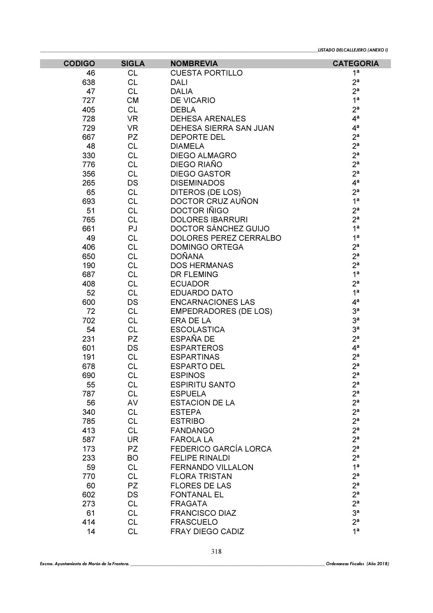| <b>CODIGO</b> | <b>SIGLA</b> | <b>NOMBREVIA</b>             | <b>CATEGORIA</b> |
|---------------|--------------|------------------------------|------------------|
| 46            | <b>CL</b>    | <b>CUESTA PORTILLO</b>       | 1 <sup>a</sup>   |
| 638           | <b>CL</b>    | <b>DALI</b>                  | 2 <sup>a</sup>   |
| 47            | <b>CL</b>    | <b>DALIA</b>                 | 2 <sup>a</sup>   |
| 727           | <b>CM</b>    | <b>DE VICARIO</b>            | 1 <sup>a</sup>   |
| 405           | <b>CL</b>    | <b>DEBLA</b>                 | 2 <sup>a</sup>   |
| 728           | <b>VR</b>    | <b>DEHESA ARENALES</b>       | 4 <sup>a</sup>   |
| 729           | <b>VR</b>    | DEHESA SIERRA SAN JUAN       | 4 <sup>a</sup>   |
| 667           | PZ           | <b>DEPORTE DEL</b>           | 2 <sup>a</sup>   |
| 48            | <b>CL</b>    | <b>DIAMELA</b>               | 2 <sup>a</sup>   |
| 330           | <b>CL</b>    | <b>DIEGO ALMAGRO</b>         | 2 <sup>a</sup>   |
| 776           | <b>CL</b>    | DIEGO RIAÑO                  | 2 <sup>a</sup>   |
| 356           | <b>CL</b>    | <b>DIEGO GASTOR</b>          | 2 <sup>a</sup>   |
| 265           | DS           | <b>DISEMINADOS</b>           | 4 <sup>a</sup>   |
| 65            | <b>CL</b>    | DITEROS (DE LOS)             | 2 <sup>a</sup>   |
| 693           | <b>CL</b>    | DOCTOR CRUZ AUÑON            | 1 <sup>a</sup>   |
| 51            | <b>CL</b>    | DOCTOR IÑIGO                 | 2 <sup>a</sup>   |
| 765           | <b>CL</b>    | <b>DOLORES IBARRURI</b>      | 2 <sup>a</sup>   |
| 661           | PJ           | DOCTOR SÁNCHEZ GUIJO         | 1 <sup>a</sup>   |
| 49            | <b>CL</b>    | DOLORES PEREZ CERRALBO       | 1 <sup>a</sup>   |
| 406           | <b>CL</b>    | DOMINGO ORTEGA               | 2 <sup>a</sup>   |
| 650           | <b>CL</b>    | <b>DOÑANA</b>                | 2 <sup>a</sup>   |
| 190           | <b>CL</b>    | <b>DOS HERMANAS</b>          | 2 <sup>a</sup>   |
| 687           | <b>CL</b>    | <b>DR FLEMING</b>            | 1 <sup>a</sup>   |
| 408           | <b>CL</b>    | <b>ECUADOR</b>               | 2 <sup>a</sup>   |
| 52            | <b>CL</b>    | <b>EDUARDO DATO</b>          | 1 <sup>a</sup>   |
| 600           | DS           | <b>ENCARNACIONES LAS</b>     | 4 <sup>a</sup>   |
| 72            | <b>CL</b>    | <b>EMPEDRADORES (DE LOS)</b> | 3 <sup>a</sup>   |
| 702           | <b>CL</b>    | ERA DE LA                    | 3 <sup>a</sup>   |
| 54            | <b>CL</b>    | <b>ESCOLASTICA</b>           | 3 <sup>a</sup>   |
| 231           | <b>PZ</b>    | ESPAÑA DE                    | 2 <sup>a</sup>   |
| 601           | <b>DS</b>    | <b>ESPARTEROS</b>            | 4 <sup>a</sup>   |
| 191           | <b>CL</b>    | <b>ESPARTINAS</b>            | 2 <sup>a</sup>   |
| 678           | <b>CL</b>    | <b>ESPARTO DEL</b>           | 2 <sup>a</sup>   |
| 690           | <b>CL</b>    | <b>ESPINOS</b>               | 2 <sup>a</sup>   |
| 55            | <b>CL</b>    | <b>ESPIRITU SANTO</b>        | $2^{\mathsf{a}}$ |
| 787           | <b>CL</b>    | <b>ESPUELA</b>               | 2 <sup>a</sup>   |
| 56            | AV           | <b>ESTACION DE LA</b>        | 2 <sup>a</sup>   |
| 340           | <b>CL</b>    | <b>ESTEPA</b>                | 2 <sup>a</sup>   |
| 785           | <b>CL</b>    | <b>ESTRIBO</b>               | 2 <sup>a</sup>   |
| 413           | <b>CL</b>    | <b>FANDANGO</b>              | 2 <sup>a</sup>   |
| 587           | <b>UR</b>    | <b>FAROLA LA</b>             | 2 <sup>a</sup>   |
| 173           | PZ           | <b>FEDERICO GARCÍA LORCA</b> | 2 <sup>a</sup>   |
| 233           | <b>BO</b>    | <b>FELIPE RINALDI</b>        | 2 <sup>a</sup>   |
| 59            | <b>CL</b>    | FERNANDO VILLALON            | 1 <sup>a</sup>   |
| 770           | <b>CL</b>    | <b>FLORA TRISTAN</b>         | 2 <sup>a</sup>   |
| 60            | PZ           | <b>FLORES DE LAS</b>         | 2 <sup>a</sup>   |
|               |              |                              | 2 <sup>a</sup>   |
| 602           | DS           | <b>FONTANAL EL</b>           | 2 <sup>a</sup>   |
| 273           | <b>CL</b>    | <b>FRAGATA</b>               | 3 <sup>a</sup>   |
| 61            | <b>CL</b>    | <b>FRANCISCO DIAZ</b>        | 2 <sup>a</sup>   |
| 414           | <b>CL</b>    | <b>FRASCUELO</b>             | 1 <sup>a</sup>   |
| 14            | <b>CL</b>    | FRAY DIEGO CADIZ             |                  |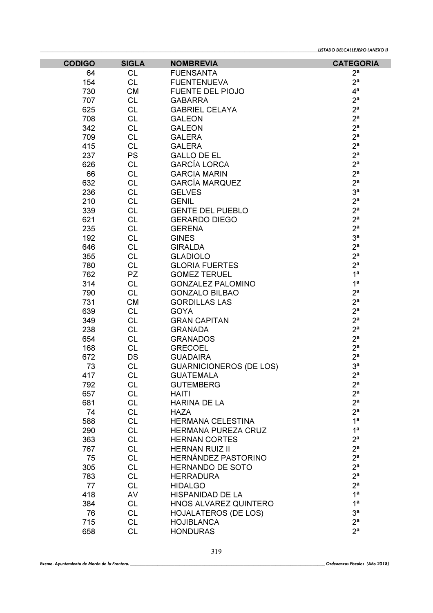| <b>CODIGO</b> | <b>SIGLA</b>           | <b>NOMBREVIA</b>                      | <b>CATEGORIA</b>                 |
|---------------|------------------------|---------------------------------------|----------------------------------|
| 64            | <b>CL</b>              | <b>FUENSANTA</b>                      | 2 <sup>a</sup>                   |
| 154           | <b>CL</b>              | <b>FUENTENUEVA</b>                    | 2 <sup>a</sup>                   |
| 730           | СM                     | <b>FUENTE DEL PIOJO</b>               | 4 <sup>a</sup>                   |
| 707           | <b>CL</b>              | <b>GABARRA</b>                        | 2 <sup>a</sup>                   |
| 625           | <b>CL</b>              | <b>GABRIEL CELAYA</b>                 | 2 <sup>a</sup>                   |
| 708           | <b>CL</b>              | <b>GALEON</b>                         | 2 <sup>a</sup>                   |
| 342           | <b>CL</b>              | <b>GALEON</b>                         | 2 <sup>a</sup>                   |
| 709           | <b>CL</b>              | <b>GALERA</b>                         | 2 <sup>a</sup>                   |
| 415           | <b>CL</b>              | <b>GALERA</b>                         | 2 <sup>a</sup>                   |
| 237           | <b>PS</b>              | <b>GALLO DE EL</b>                    | 2 <sup>a</sup>                   |
| 626           | <b>CL</b>              | <b>GARCÍA LORCA</b>                   | 2 <sup>a</sup>                   |
| 66            | <b>CL</b>              | <b>GARCIA MARIN</b>                   | 2 <sup>a</sup>                   |
| 632           | <b>CL</b>              | <b>GARCÍA MARQUEZ</b>                 | 2 <sup>a</sup>                   |
| 236           | <b>CL</b>              | <b>GELVES</b>                         | 3 <sup>a</sup>                   |
| 210           | <b>CL</b>              | <b>GENIL</b>                          | 2 <sup>a</sup>                   |
| 339           | <b>CL</b>              | <b>GENTE DEL PUEBLO</b>               | 2 <sup>a</sup><br>2 <sup>a</sup> |
| 621<br>235    | <b>CL</b><br><b>CL</b> | <b>GERARDO DIEGO</b><br><b>GERENA</b> | 2 <sup>a</sup>                   |
| 192           | <b>CL</b>              | <b>GINES</b>                          | 3 <sup>a</sup>                   |
| 646           | <b>CL</b>              | <b>GIRALDA</b>                        | 2 <sup>a</sup>                   |
| 355           | <b>CL</b>              | <b>GLADIOLO</b>                       | 2 <sup>a</sup>                   |
| 780           | <b>CL</b>              | <b>GLORIA FUERTES</b>                 | 2 <sup>a</sup>                   |
| 762           | PZ                     | <b>GOMEZ TERUEL</b>                   | 1 <sup>a</sup>                   |
| 314           | <b>CL</b>              | <b>GONZALEZ PALOMINO</b>              | 1 <sup>a</sup>                   |
| 790           | <b>CL</b>              | <b>GONZALO BILBAO</b>                 | 2 <sup>a</sup>                   |
| 731           | <b>CM</b>              | <b>GORDILLAS LAS</b>                  | 2 <sup>a</sup>                   |
| 639           | <b>CL</b>              | <b>GOYA</b>                           | 2 <sup>a</sup>                   |
| 349           | <b>CL</b>              | <b>GRAN CAPITAN</b>                   | 2 <sup>a</sup>                   |
| 238           | <b>CL</b>              | <b>GRANADA</b>                        | 2 <sup>a</sup>                   |
| 654           | <b>CL</b>              | <b>GRANADOS</b>                       | 2 <sup>a</sup>                   |
| 168           | <b>CL</b>              | <b>GRECOEL</b>                        | 2 <sup>a</sup>                   |
| 672           | DS                     | <b>GUADAIRA</b>                       | 2 <sup>a</sup>                   |
| 73            | <b>CL</b>              | <b>GUARNICIONEROS (DE LOS)</b>        | 3 <sup>a</sup>                   |
| 417           | <b>CL</b>              | <b>GUATEMALA</b>                      | 2 <sup>a</sup>                   |
| 792           | СL                     | <b>GUTEMBERG</b>                      | 2ª                               |
| 657           | <b>CL</b>              | <b>HAITI</b>                          | 2 <sup>a</sup>                   |
| 681           | <b>CL</b>              | <b>HARINA DE LA</b>                   | 2 <sup>a</sup>                   |
| 74            | <b>CL</b>              | <b>HAZA</b>                           | 2 <sup>a</sup>                   |
| 588           | <b>CL</b>              | HERMANA CELESTINA                     | 1 <sup>a</sup>                   |
| 290           | <b>CL</b>              | HERMANA PUREZA CRUZ                   | 1 <sup>a</sup>                   |
| 363           | <b>CL</b>              | <b>HERNAN CORTES</b>                  | 2 <sup>a</sup>                   |
| 767           | <b>CL</b>              | <b>HERNAN RUIZ II</b>                 | 2 <sup>a</sup>                   |
| 75            | <b>CL</b>              | HERNÁNDEZ PASTORINO                   | 2 <sup>a</sup>                   |
| 305           | <b>CL</b>              | <b>HERNANDO DE SOTO</b>               | 2 <sup>a</sup>                   |
| 783           | <b>CL</b>              | <b>HERRADURA</b>                      | 2 <sup>a</sup>                   |
| 77            | <b>CL</b>              | <b>HIDALGO</b>                        | 2 <sup>a</sup>                   |
| 418           | AV                     | HISPANIDAD DE LA                      | 1 <sup>a</sup>                   |
| 384           | <b>CL</b>              | HNOS ALVAREZ QUINTERO                 | 1 <sup>a</sup>                   |
| 76            | <b>CL</b>              | <b>HOJALATEROS (DE LOS)</b>           | 3 <sup>a</sup>                   |
| 715           | <b>CL</b>              | <b>HOJIBLANCA</b>                     | 2 <sup>a</sup><br>2 <sup>a</sup> |
| 658           | <b>CL</b>              | <b>HONDURAS</b>                       |                                  |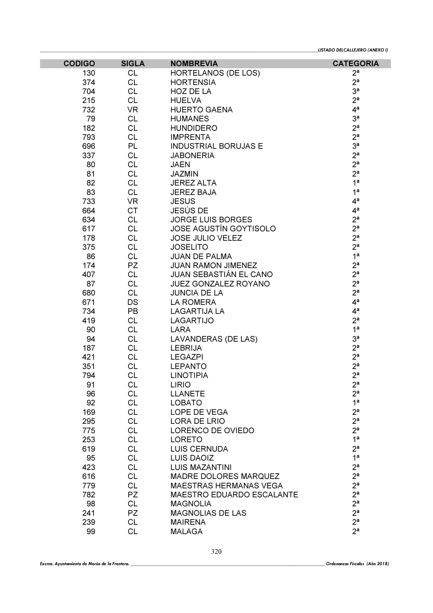| <b>CODIGO</b> | <b>SIGLA</b> | <b>NOMBREVIA</b>                                              | <b>CATEGORIA</b> |
|---------------|--------------|---------------------------------------------------------------|------------------|
| 130           | <b>CL</b>    | <b>HORTELANOS (DE LOS)</b>                                    | 2 <sup>a</sup>   |
| 374           | <b>CL</b>    | <b>HORTENSIA</b>                                              | 2 <sup>a</sup>   |
| 704           | <b>CL</b>    | HOZ DE LA                                                     | 3 <sup>a</sup>   |
| 215           | <b>CL</b>    | <b>HUELVA</b>                                                 | 2 <sup>a</sup>   |
| 732           | <b>VR</b>    | <b>HUERTO GAENA</b>                                           | 4 <sup>a</sup>   |
| 79            | <b>CL</b>    | <b>HUMANES</b>                                                | 3 <sup>a</sup>   |
| 182           | <b>CL</b>    | <b>HUNDIDERO</b>                                              | 2 <sup>a</sup>   |
| 793           | <b>CL</b>    | <b>IMPRENTA</b>                                               | 2 <sup>a</sup>   |
| 696           | <b>PL</b>    | <b>INDUSTRIAL BORUJAS E</b>                                   | 3 <sup>a</sup>   |
| 337           | <b>CL</b>    | <b>JABONERIA</b>                                              | 2 <sup>a</sup>   |
| 80            | <b>CL</b>    | <b>JAEN</b>                                                   | 2 <sup>a</sup>   |
| 81            | <b>CL</b>    | <b>JAZMIN</b>                                                 | 2 <sup>a</sup>   |
| 82            | <b>CL</b>    | <b>JEREZ ALTA</b>                                             | 1 <sup>a</sup>   |
| 83            | <b>CL</b>    | <b>JEREZ BAJA</b>                                             | 1 <sup>a</sup>   |
| 733           | <b>VR</b>    | <b>JESUS</b>                                                  | 4 <sup>a</sup>   |
| 664           | <b>CT</b>    | JESÚS DE                                                      | 4 <sup>a</sup>   |
| 634           | <b>CL</b>    | <b>JORGE LUIS BORGES</b>                                      | 2 <sup>a</sup>   |
| 617           | <b>CL</b>    | <b>JOSE AGUSTÍN GOYTISOLO</b>                                 | 2 <sup>a</sup>   |
| 178           | <b>CL</b>    | <b>JOSE JULIO VELEZ</b>                                       | 2 <sup>a</sup>   |
| 375           | <b>CL</b>    | <b>JOSELITO</b>                                               | 2 <sup>a</sup>   |
| 86            | <b>CL</b>    | <b>JUAN DE PALMA</b>                                          | 1 <sup>a</sup>   |
| 174           | PZ           | <b>JUAN RAMON JIMENEZ</b>                                     | 2 <sup>a</sup>   |
| 407           | <b>CL</b>    | <b>JUAN SEBASTIÁN EL CANO</b>                                 | 2 <sup>a</sup>   |
| 87            | <b>CL</b>    | JUEZ GONZALEZ ROYANO                                          | 2 <sup>a</sup>   |
| 680           | <b>CL</b>    | <b>JUNCIA DE LA</b>                                           | 2 <sup>a</sup>   |
| 671           | DS           | LA ROMERA                                                     | 4 <sup>a</sup>   |
| 734           | <b>PB</b>    | <b>LAGARTIJA LA</b>                                           | 4 <sup>a</sup>   |
| 419           | <b>CL</b>    | <b>LAGARTIJO</b>                                              | 2 <sup>a</sup>   |
| 90            | <b>CL</b>    | LARA                                                          | 1 <sup>a</sup>   |
| 94            | <b>CL</b>    | LAVANDERAS (DE LAS)                                           | 3 <sup>a</sup>   |
| 187           | <b>CL</b>    | <b>LEBRIJA</b>                                                | 2 <sup>a</sup>   |
| 421           | <b>CL</b>    | <b>LEGAZPI</b>                                                | 2 <sup>a</sup>   |
| 351           | <b>CL</b>    | <b>LEPANTO</b>                                                | 2 <sup>a</sup>   |
| 794           | <b>CL</b>    | <b>LINOTIPIA</b>                                              | 2 <sup>a</sup>   |
| 91            | <b>CL</b>    | <b>LIRIO</b>                                                  | $2^{\mathsf{a}}$ |
| 96            | <b>CL</b>    | <b>LLANETE</b>                                                | 2 <sup>a</sup>   |
| 92            | <b>CL</b>    | <b>LOBATO</b>                                                 | 1 <sup>a</sup>   |
| 169           | <b>CL</b>    | LOPE DE VEGA                                                  | 2 <sup>a</sup>   |
| 295           | <b>CL</b>    | LORA DE LRIO                                                  | 2 <sup>a</sup>   |
| 775           | <b>CL</b>    | LORENCO DE OVIEDO                                             | 2 <sup>a</sup>   |
| 253           | <b>CL</b>    | <b>LORETO</b>                                                 | 1 <sup>a</sup>   |
| 619           | <b>CL</b>    | <b>LUIS CERNUDA</b>                                           | 2 <sup>a</sup>   |
| 95            | <b>CL</b>    | <b>LUIS DAOIZ</b>                                             | 1 <sup>a</sup>   |
| 423           | <b>CL</b>    | <b>LUIS MAZANTINI</b>                                         | 2 <sup>a</sup>   |
|               | <b>CL</b>    |                                                               | 2 <sup>a</sup>   |
| 616<br>779    | <b>CL</b>    | <b>MADRE DOLORES MARQUEZ</b><br><b>MAESTRAS HERMANAS VEGA</b> | 2 <sup>a</sup>   |
|               | <b>PZ</b>    |                                                               | 2 <sup>a</sup>   |
| 782           |              | <b>MAESTRO EDUARDO ESCALANTE</b>                              | 2 <sup>a</sup>   |
| 98            | <b>CL</b>    | <b>MAGNOLIA</b>                                               | 2 <sup>a</sup>   |
| 241           | PZ           | <b>MAGNOLIAS DE LAS</b>                                       | 2 <sup>a</sup>   |
| 239           | <b>CL</b>    | <b>MAIRENA</b>                                                | 2 <sup>a</sup>   |
| 99            | <b>CL</b>    | <b>MALAGA</b>                                                 |                  |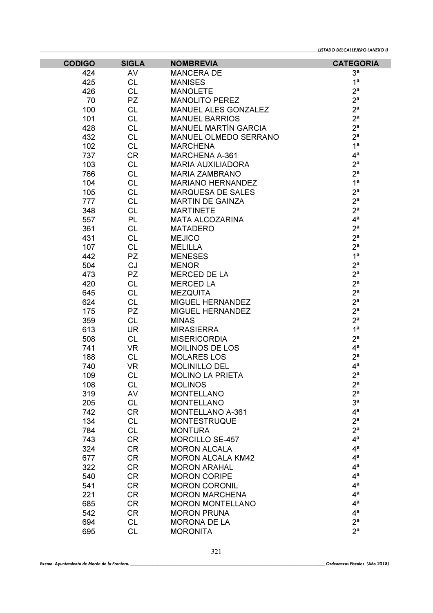| <b>CODIGO</b> | <b>SIGLA</b> | <b>NOMBREVIA</b>            | <b>CATEGORIA</b> |
|---------------|--------------|-----------------------------|------------------|
| 424           | AV           | <b>MANCERA DE</b>           | 3 <sup>a</sup>   |
| 425           | <b>CL</b>    | <b>MANISES</b>              | 1 <sup>a</sup>   |
| 426           | <b>CL</b>    | <b>MANOLETE</b>             | 2 <sup>a</sup>   |
| 70            | PZ           | <b>MANOLITO PEREZ</b>       | 2 <sup>a</sup>   |
| 100           | <b>CL</b>    | <b>MANUEL ALES GONZALEZ</b> | 2 <sup>a</sup>   |
| 101           | <b>CL</b>    | <b>MANUEL BARRIOS</b>       | 2 <sup>a</sup>   |
| 428           | <b>CL</b>    | <b>MANUEL MARTÍN GARCIA</b> | 2 <sup>a</sup>   |
| 432           | <b>CL</b>    | MANUEL OLMEDO SERRANO       | 2 <sup>a</sup>   |
| 102           | <b>CL</b>    | <b>MARCHENA</b>             | 1 <sup>a</sup>   |
| 737           | <b>CR</b>    | <b>MARCHENA A-361</b>       | 4 <sup>a</sup>   |
| 103           | <b>CL</b>    | <b>MARIA AUXILIADORA</b>    | 2 <sup>a</sup>   |
| 766           | <b>CL</b>    | <b>MARIA ZAMBRANO</b>       | 2 <sup>a</sup>   |
| 104           | <b>CL</b>    | <b>MARIANO HERNANDEZ</b>    | 1 <sup>a</sup>   |
| 105           | <b>CL</b>    | <b>MARQUESA DE SALES</b>    | 2 <sup>a</sup>   |
| 777           | <b>CL</b>    | <b>MARTIN DE GAINZA</b>     | 2 <sup>a</sup>   |
| 348           | <b>CL</b>    | <b>MARTINETE</b>            | 2 <sup>a</sup>   |
| 557           | PL           | <b>MATA ALCOZARINA</b>      | $4^a$            |
| 361           | <b>CL</b>    | <b>MATADERO</b>             | 2 <sup>a</sup>   |
| 431           | <b>CL</b>    | <b>MEJICO</b>               | 2 <sup>a</sup>   |
| 107           | <b>CL</b>    | <b>MELILLA</b>              | 2 <sup>a</sup>   |
| 442           | <b>PZ</b>    | <b>MENESES</b>              | 1 <sup>a</sup>   |
| 504           | CJ           | <b>MENOR</b>                | 2 <sup>a</sup>   |
| 473           | PZ           | <b>MERCED DE LA</b>         | 2 <sup>a</sup>   |
| 420           | <b>CL</b>    | <b>MERCED LA</b>            | 2 <sup>a</sup>   |
| 645           | <b>CL</b>    | <b>MEZQUITA</b>             | 2 <sup>a</sup>   |
| 624           | <b>CL</b>    | MIGUEL HERNANDEZ            | 2 <sup>a</sup>   |
| 175           | <b>PZ</b>    | <b>MIGUEL HERNANDEZ</b>     | 2 <sup>a</sup>   |
| 359           | <b>CL</b>    | <b>MINAS</b>                | 2 <sup>a</sup>   |
| 613           | <b>UR</b>    | <b>MIRASIERRA</b>           | 1 <sup>a</sup>   |
| 508           | <b>CL</b>    | <b>MISERICORDIA</b>         | 2 <sup>a</sup>   |
| 741           | <b>VR</b>    | <b>MOILINOS DE LOS</b>      | 4 <sup>a</sup>   |
| 188           | <b>CL</b>    | <b>MOLARES LOS</b>          | 2 <sup>a</sup>   |
| 740           | <b>VR</b>    | <b>MOLINILLO DEL</b>        | 4 <sup>a</sup>   |
| 109           | <b>CL</b>    | <b>MOLINO LA PRIETA</b>     | 2 <sup>a</sup>   |
| 108           | <b>CL</b>    | <b>MOLINOS</b>              | $2^a$            |
| 319           | AV           | <b>MONTELLANO</b>           | 2 <sup>a</sup>   |
| 205           | <b>CL</b>    | <b>MONTELLANO</b>           | 3 <sup>a</sup>   |
| 742           | <b>CR</b>    | <b>MONTELLANO A-361</b>     | $4^a$            |
| 134           | <b>CL</b>    | <b>MONTESTRUQUE</b>         | 2 <sup>a</sup>   |
| 784           | <b>CL</b>    | <b>MONTURA</b>              | 2 <sup>a</sup>   |
| 743           | <b>CR</b>    | <b>MORCILLO SE-457</b>      | 4 <sup>a</sup>   |
| 324           | <b>CR</b>    | <b>MORON ALCALA</b>         | 4 <sup>a</sup>   |
| 677           | <b>CR</b>    | <b>MORON ALCALA KM42</b>    | 4 <sup>a</sup>   |
| 322           | <b>CR</b>    | <b>MORON ARAHAL</b>         | 4 <sup>a</sup>   |
| 540           | <b>CR</b>    | <b>MORON CORIPE</b>         | 4 <sup>a</sup>   |
| 541           | <b>CR</b>    | <b>MORON CORONIL</b>        | 4 <sup>a</sup>   |
| 221           | <b>CR</b>    | <b>MORON MARCHENA</b>       | 4 <sup>a</sup>   |
| 685           | <b>CR</b>    | <b>MORON MONTELLANO</b>     | 4 <sup>a</sup>   |
| 542           | <b>CR</b>    | <b>MORON PRUNA</b>          | 4 <sup>a</sup>   |
| 694           | <b>CL</b>    | <b>MORONA DE LA</b>         | 2 <sup>a</sup>   |
| 695           | <b>CL</b>    | <b>MORONITA</b>             | 2 <sup>a</sup>   |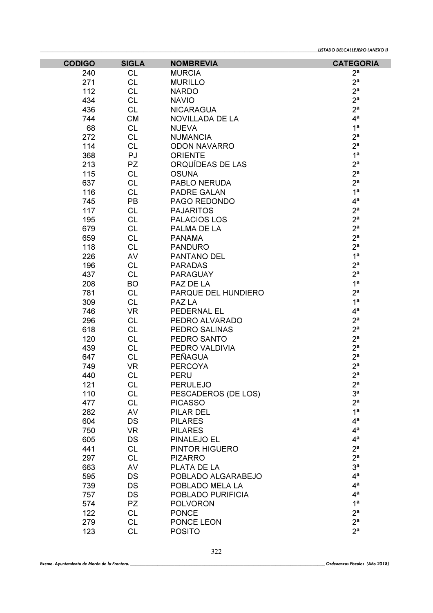| <b>CODIGO</b> | <b>SIGLA</b> | <b>NOMBREVIA</b>    | <b>CATEGORIA</b> |
|---------------|--------------|---------------------|------------------|
| 240           | <b>CL</b>    | <b>MURCIA</b>       | 2 <sup>a</sup>   |
| 271           | <b>CL</b>    | <b>MURILLO</b>      | 2 <sup>a</sup>   |
| 112           | <b>CL</b>    | <b>NARDO</b>        | 2 <sup>a</sup>   |
| 434           | <b>CL</b>    | <b>NAVIO</b>        | 2 <sup>a</sup>   |
| 436           | <b>CL</b>    | <b>NICARAGUA</b>    | 2 <sup>a</sup>   |
| 744           | <b>CM</b>    | NOVILLADA DE LA     | 4 <sup>a</sup>   |
| 68            | <b>CL</b>    | <b>NUEVA</b>        | 1 <sup>a</sup>   |
| 272           | <b>CL</b>    | <b>NUMANCIA</b>     | 2 <sup>a</sup>   |
| 114           | <b>CL</b>    | <b>ODON NAVARRO</b> | 2 <sup>a</sup>   |
| 368           | PJ           | <b>ORIENTE</b>      | 1 <sup>a</sup>   |
| 213           | PZ           | ORQUÍDEAS DE LAS    | 2 <sup>a</sup>   |
| 115           | <b>CL</b>    | <b>OSUNA</b>        | 2 <sup>a</sup>   |
| 637           | <b>CL</b>    | PABLO NERUDA        | 2 <sup>a</sup>   |
| 116           | <b>CL</b>    | <b>PADRE GALAN</b>  | 1 <sup>a</sup>   |
| 745           | PB           | PAGO REDONDO        | 4 <sup>a</sup>   |
| 117           | <b>CL</b>    | <b>PAJARITOS</b>    | 2 <sup>a</sup>   |
| 195           | <b>CL</b>    | PALACIOS LOS        | 2 <sup>a</sup>   |
| 679           | <b>CL</b>    | PALMA DE LA         | 2 <sup>a</sup>   |
| 659           | <b>CL</b>    | <b>PANAMA</b>       | 2 <sup>a</sup>   |
| 118           | <b>CL</b>    | <b>PANDURO</b>      | 2 <sup>a</sup>   |
| 226           | AV           | PANTANO DEL         | 1 <sup>a</sup>   |
| 196           | <b>CL</b>    | <b>PARADAS</b>      | 2 <sup>a</sup>   |
| 437           | <b>CL</b>    | <b>PARAGUAY</b>     | 2 <sup>a</sup>   |
| 208           | <b>BO</b>    | PAZ DE LA           | 1 <sup>a</sup>   |
| 781           | <b>CL</b>    | PARQUE DEL HUNDIERO | 2 <sup>a</sup>   |
| 309           | <b>CL</b>    | PAZ LA              | 1 <sup>a</sup>   |
| 746           | <b>VR</b>    | PEDERNAL EL         | 4 <sup>a</sup>   |
| 296           | <b>CL</b>    | PEDRO ALVARADO      | 2 <sup>a</sup>   |
| 618           | <b>CL</b>    | PEDRO SALINAS       | 2 <sup>a</sup>   |
| 120           | <b>CL</b>    | PEDRO SANTO         | 2 <sup>a</sup>   |
| 439           | <b>CL</b>    | PEDRO VALDIVIA      | 2 <sup>a</sup>   |
| 647           | <b>CL</b>    | <b>PEÑAGUA</b>      | 2 <sup>a</sup>   |
| 749           | <b>VR</b>    | <b>PERCOYA</b>      | 2 <sup>a</sup>   |
| 440           | <b>CL</b>    | <b>PERU</b>         | 2 <sup>a</sup>   |
| 121           | CL           | <b>PERULEJO</b>     | $2^{\mathsf{a}}$ |
| 110           | <b>CL</b>    | PESCADEROS (DE LOS) | 3 <sup>a</sup>   |
| 477           | <b>CL</b>    | <b>PICASSO</b>      | 2 <sup>a</sup>   |
| 282           | AV           | PILAR DEL           | 1 <sup>a</sup>   |
| 604           | DS           | <b>PILARES</b>      | 4 <sup>a</sup>   |
| 750           | <b>VR</b>    | <b>PILARES</b>      | 4 <sup>a</sup>   |
| 605           | DS           | PINALEJO EL         | 4 <sup>a</sup>   |
| 441           | <b>CL</b>    | PINTOR HIGUERO      | 2 <sup>a</sup>   |
| 297           | <b>CL</b>    | <b>PIZARRO</b>      | 2 <sup>a</sup>   |
| 663           | AV           | PLATA DE LA         | 3 <sup>a</sup>   |
| 595           | DS           | POBLADO ALGARABEJO  | 4 <sup>a</sup>   |
| 739           | DS           | POBLADO MELA LA     | 4 <sup>a</sup>   |
| 757           | DS           | POBLADO PURIFICIA   | 4 <sup>a</sup>   |
| 574           | <b>PZ</b>    | <b>POLVORON</b>     | 1 <sup>a</sup>   |
| 122           | <b>CL</b>    | <b>PONCE</b>        | 2 <sup>a</sup>   |
| 279           | <b>CL</b>    | PONCE LEON          | 2 <sup>a</sup>   |
| 123           | CL           | <b>POSITO</b>       | 2 <sup>a</sup>   |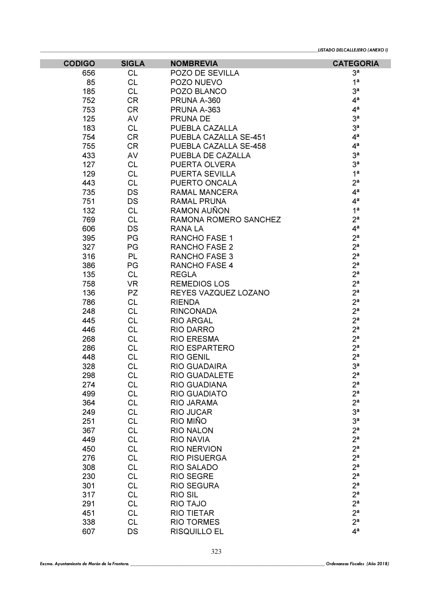| <b>CODIGO</b> | <b>SIGLA</b> | <b>NOMBREVIA</b>      | <b>CATEGORIA</b> |
|---------------|--------------|-----------------------|------------------|
| 656           | <b>CL</b>    | POZO DE SEVILLA       | 3 <sup>a</sup>   |
| 85            | <b>CL</b>    | POZO NUEVO            | 1 <sup>a</sup>   |
| 185           | <b>CL</b>    | POZO BLANCO           | 3 <sup>a</sup>   |
| 752           | <b>CR</b>    | PRUNA A-360           | 4 <sup>a</sup>   |
| 753           | <b>CR</b>    | PRUNA A-363           | 4 <sup>a</sup>   |
| 125           | AV           | <b>PRUNA DE</b>       | 3 <sup>a</sup>   |
| 183           | CL           | PUEBLA CAZALLA        | 3 <sup>a</sup>   |
| 754           | <b>CR</b>    | PUEBLA CAZALLA SE-451 | 4 <sup>a</sup>   |
| 755           | <b>CR</b>    | PUEBLA CAZALLA SE-458 | 4 <sup>a</sup>   |
| 433           | AV           | PUEBLA DE CAZALLA     | 3 <sup>a</sup>   |
| 127           | <b>CL</b>    | PUERTA OLVERA         | 3 <sup>a</sup>   |
| 129           | <b>CL</b>    | PUERTA SEVILLA        | 1 <sup>a</sup>   |
| 443           | <b>CL</b>    | PUERTO ONCALA         | 2 <sup>a</sup>   |
| 735           | DS           | RAMAL MANCERA         | 4 <sup>a</sup>   |
| 751           | DS           | <b>RAMAL PRUNA</b>    | 4 <sup>a</sup>   |
| 132           | <b>CL</b>    | RAMON AUÑON           | 1 <sup>a</sup>   |
| 769           | <b>CL</b>    | RAMONA ROMERO SANCHEZ | 2 <sup>a</sup>   |
| 606           | <b>DS</b>    | <b>RANALA</b>         | 4 <sup>a</sup>   |
| 395           | PG           | <b>RANCHO FASE 1</b>  | 2 <sup>a</sup>   |
| 327           | PG           | <b>RANCHO FASE 2</b>  | 2 <sup>a</sup>   |
| 316           | <b>PL</b>    | <b>RANCHO FASE 3</b>  | 2 <sup>a</sup>   |
| 386           | PG           | RANCHO FASE 4         | 2 <sup>a</sup>   |
| 135           | <b>CL</b>    | <b>REGLA</b>          | 2 <sup>a</sup>   |
| 758           | <b>VR</b>    | <b>REMEDIOS LOS</b>   | 2 <sup>a</sup>   |
| 136           | PZ           | REYES VAZQUEZ LOZANO  | 2 <sup>a</sup>   |
| 786           | <b>CL</b>    | <b>RIENDA</b>         | 2 <sup>a</sup>   |
| 248           | <b>CL</b>    | <b>RINCONADA</b>      | 2 <sup>a</sup>   |
| 445           | <b>CL</b>    | <b>RIO ARGAL</b>      | 2 <sup>a</sup>   |
| 446           | <b>CL</b>    | <b>RIO DARRO</b>      | 2 <sup>a</sup>   |
| 268           | <b>CL</b>    | <b>RIO ERESMA</b>     | 2 <sup>a</sup>   |
| 286           | <b>CL</b>    | <b>RIO ESPARTERO</b>  | 2 <sup>a</sup>   |
| 448           | <b>CL</b>    | <b>RIO GENIL</b>      | 2 <sup>a</sup>   |
| 328           | <b>CL</b>    | <b>RIO GUADAIRA</b>   | 3 <sup>a</sup>   |
| 298           | <b>CL</b>    | <b>RIO GUADALETE</b>  | 2 <sup>a</sup>   |
| 274           | CL           | RIO GUADIANA          | $2^a$            |
| 499           | <b>CL</b>    | <b>RIO GUADIATO</b>   | 2 <sup>a</sup>   |
| 364           | <b>CL</b>    | RIO JARAMA            | 2 <sup>a</sup>   |
| 249           | <b>CL</b>    | <b>RIO JUCAR</b>      | 3 <sup>a</sup>   |
| 251           | <b>CL</b>    | RIO MIÑO              | 3 <sup>a</sup>   |
| 367           | <b>CL</b>    | <b>RIO NALON</b>      | 2 <sup>a</sup>   |
| 449           | <b>CL</b>    | <b>RIO NAVIA</b>      | 2 <sup>a</sup>   |
| 450           | <b>CL</b>    | <b>RIO NERVION</b>    | 2 <sup>a</sup>   |
| 276           | <b>CL</b>    | <b>RIO PISUERGA</b>   | 2 <sup>a</sup>   |
| 308           | <b>CL</b>    | <b>RIO SALADO</b>     | 2 <sup>a</sup>   |
| 230           | <b>CL</b>    | <b>RIO SEGRE</b>      | 2 <sup>a</sup>   |
| 301           | <b>CL</b>    | <b>RIO SEGURA</b>     | 2 <sup>a</sup>   |
| 317           | <b>CL</b>    | <b>RIO SIL</b>        | 2 <sup>a</sup>   |
| 291           | <b>CL</b>    | RIO TAJO              | 2 <sup>a</sup>   |
| 451           | <b>CL</b>    | <b>RIO TIETAR</b>     | 2 <sup>a</sup>   |
| 338           | <b>CL</b>    | <b>RIO TORMES</b>     | 2 <sup>a</sup>   |
| 607           | DS           | <b>RISQUILLO EL</b>   | 4 <sup>a</sup>   |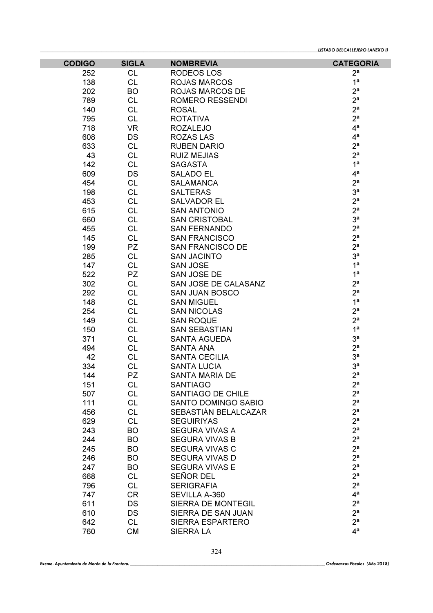| <b>CODIGO</b> | <b>SIGLA</b> | <b>NOMBREVIA</b>        | <b>CATEGORIA</b> |
|---------------|--------------|-------------------------|------------------|
| 252           | <b>CL</b>    | <b>RODEOS LOS</b>       | 2 <sup>a</sup>   |
| 138           | <b>CL</b>    | <b>ROJAS MARCOS</b>     | 1 <sup>a</sup>   |
| 202           | <b>BO</b>    | ROJAS MARCOS DE         | 2 <sup>a</sup>   |
| 789           | <b>CL</b>    | <b>ROMERO RESSENDI</b>  | 2 <sup>a</sup>   |
| 140           | <b>CL</b>    | <b>ROSAL</b>            | 2 <sup>a</sup>   |
| 795           | <b>CL</b>    | <b>ROTATIVA</b>         | 2 <sup>a</sup>   |
| 718           | <b>VR</b>    | <b>ROZALEJO</b>         | 4 <sup>a</sup>   |
| 608           | <b>DS</b>    | <b>ROZAS LAS</b>        | 4 <sup>a</sup>   |
| 633           | <b>CL</b>    | <b>RUBEN DARIO</b>      | 2 <sup>a</sup>   |
| 43            | <b>CL</b>    | <b>RUIZ MEJIAS</b>      | 2 <sup>a</sup>   |
| 142           | <b>CL</b>    | <b>SAGASTA</b>          | 1 <sup>a</sup>   |
| 609           | DS           | <b>SALADO EL</b>        | 4 <sup>a</sup>   |
| 454           | <b>CL</b>    | <b>SALAMANCA</b>        | 2 <sup>a</sup>   |
| 198           | <b>CL</b>    | <b>SALTERAS</b>         | 3 <sup>a</sup>   |
| 453           | <b>CL</b>    | <b>SALVADOR EL</b>      | 2 <sup>a</sup>   |
| 615           | <b>CL</b>    | <b>SAN ANTONIO</b>      | 2 <sup>a</sup>   |
| 660           | <b>CL</b>    | <b>SAN CRISTOBAL</b>    | 3 <sup>a</sup>   |
| 455           | <b>CL</b>    | <b>SAN FERNANDO</b>     | 2 <sup>a</sup>   |
| 145           | <b>CL</b>    | <b>SAN FRANCISCO</b>    | 2 <sup>a</sup>   |
| 199           | <b>PZ</b>    | <b>SAN FRANCISCO DE</b> | 2 <sup>a</sup>   |
| 285           | <b>CL</b>    | <b>SAN JACINTO</b>      | 3 <sup>a</sup>   |
| 147           | <b>CL</b>    | <b>SAN JOSE</b>         | 1 <sup>a</sup>   |
| 522           | PZ           | SAN JOSE DE             | 1 <sup>a</sup>   |
| 302           | <b>CL</b>    | SAN JOSE DE CALASANZ    | 2 <sup>a</sup>   |
| 292           | <b>CL</b>    | <b>SAN JUAN BOSCO</b>   | 2 <sup>a</sup>   |
| 148           | <b>CL</b>    | <b>SAN MIGUEL</b>       | 1 <sup>a</sup>   |
| 254           | <b>CL</b>    | <b>SAN NICOLAS</b>      | 2 <sup>a</sup>   |
| 149           | <b>CL</b>    | <b>SAN ROQUE</b>        | 2 <sup>a</sup>   |
| 150           | <b>CL</b>    | <b>SAN SEBASTIAN</b>    | 1 <sup>a</sup>   |
| 371           | <b>CL</b>    | <b>SANTA AGUEDA</b>     | 3 <sup>a</sup>   |
| 494           | <b>CL</b>    | <b>SANTA ANA</b>        | 2 <sup>a</sup>   |
| 42            | CL           | <b>SANTA CECILIA</b>    | 3 <sup>a</sup>   |
| 334           | <b>CL</b>    | <b>SANTA LUCIA</b>      | 3 <sup>a</sup>   |
| 144           | PZ           | <b>SANTA MARIA DE</b>   | 2 <sup>a</sup>   |
| 151           | <b>CL</b>    | SANTIAGO                | $2^a$            |
| 507           | <b>CL</b>    | SANTIAGO DE CHILE       | 2 <sup>a</sup>   |
| 111           | <b>CL</b>    | SANTO DOMINGO SABIO     | 2 <sup>a</sup>   |
| 456           | <b>CL</b>    | SEBASTIÁN BELALCAZAR    | 2 <sup>a</sup>   |
| 629           | <b>CL</b>    | <b>SEGUIRIYAS</b>       | 2 <sup>a</sup>   |
| 243           | <b>BO</b>    | <b>SEGURA VIVAS A</b>   | 2 <sup>a</sup>   |
| 244           | <b>BO</b>    | <b>SEGURA VIVAS B</b>   | 2 <sup>a</sup>   |
| 245           | <b>BO</b>    | <b>SEGURA VIVAS C</b>   | 2 <sup>a</sup>   |
| 246           | <b>BO</b>    | <b>SEGURA VIVAS D</b>   | 2 <sup>a</sup>   |
| 247           | <b>BO</b>    | <b>SEGURA VIVAS E</b>   | 2 <sup>a</sup>   |
| 668           | <b>CL</b>    | SEÑOR DEL               | 2 <sup>a</sup>   |
| 796           | <b>CL</b>    | <b>SERIGRAFIA</b>       | 2 <sup>a</sup>   |
| 747           | <b>CR</b>    | SEVILLA A-360           | 4 <sup>a</sup>   |
| 611           | DS           | SIERRA DE MONTEGIL      | 2 <sup>a</sup>   |
| 610           | DS           | SIERRA DE SAN JUAN      | 2 <sup>a</sup>   |
| 642           | <b>CL</b>    | SIERRA ESPARTERO        | 2 <sup>a</sup>   |
| 760           | <b>CM</b>    | SIERRA LA               | 4 <sup>a</sup>   |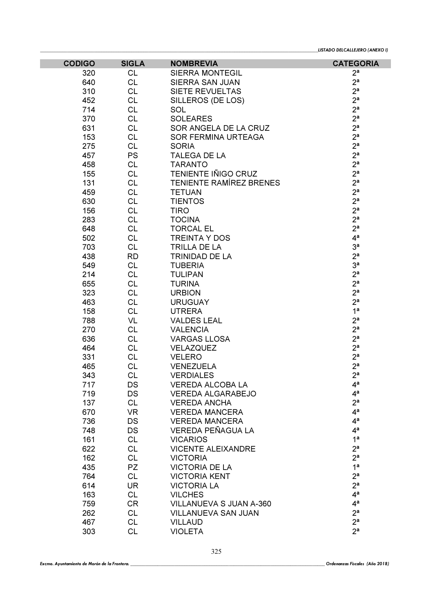| <b>CODIGO</b> | <b>SIGLA</b> | <b>NOMBREVIA</b>               | <b>CATEGORIA</b> |
|---------------|--------------|--------------------------------|------------------|
| 320           | <b>CL</b>    | <b>SIERRA MONTEGIL</b>         | 2 <sup>a</sup>   |
| 640           | <b>CL</b>    | SIERRA SAN JUAN                | 2 <sup>a</sup>   |
| 310           | <b>CL</b>    | SIETE REVUELTAS                | 2 <sup>a</sup>   |
| 452           | <b>CL</b>    | SILLEROS (DE LOS)              | 2 <sup>a</sup>   |
| 714           | <b>CL</b>    | <b>SOL</b>                     | 2 <sup>a</sup>   |
| 370           | <b>CL</b>    | <b>SOLEARES</b>                | 2 <sup>a</sup>   |
| 631           | <b>CL</b>    | SOR ANGELA DE LA CRUZ          | 2 <sup>a</sup>   |
| 153           | <b>CL</b>    | SOR FERMINA URTEAGA            | 2 <sup>a</sup>   |
| 275           | <b>CL</b>    | <b>SORIA</b>                   | 2 <sup>a</sup>   |
| 457           | <b>PS</b>    | <b>TALEGA DE LA</b>            | 2 <sup>a</sup>   |
| 458           | <b>CL</b>    | <b>TARANTO</b>                 | 2 <sup>a</sup>   |
| 155           | <b>CL</b>    | <b>TENIENTE IÑIGO CRUZ</b>     | 2 <sup>a</sup>   |
| 131           | <b>CL</b>    | <b>TENIENTE RAMÍREZ BRENES</b> | 2 <sup>a</sup>   |
| 459           | <b>CL</b>    | <b>TETUAN</b>                  | 2 <sup>a</sup>   |
| 630           | <b>CL</b>    | <b>TIENTOS</b>                 | 2 <sup>a</sup>   |
| 156           | <b>CL</b>    | <b>TIRO</b>                    | 2 <sup>a</sup>   |
| 283           | <b>CL</b>    | <b>TOCINA</b>                  | 2 <sup>a</sup>   |
| 648           | <b>CL</b>    | <b>TORCAL EL</b>               | 2 <sup>a</sup>   |
| 502           | <b>CL</b>    | <b>TREINTA Y DOS</b>           | 4 <sup>a</sup>   |
| 703           | <b>CL</b>    | TRILLA DE LA                   | 3 <sup>a</sup>   |
| 438           | <b>RD</b>    | <b>TRINIDAD DE LA</b>          | 2 <sup>a</sup>   |
| 549           | <b>CL</b>    | <b>TUBERIA</b>                 | 3 <sup>a</sup>   |
| 214           | <b>CL</b>    | <b>TULIPAN</b>                 | 2 <sup>a</sup>   |
| 655           | <b>CL</b>    | <b>TURINA</b>                  | 2 <sup>a</sup>   |
| 323           | <b>CL</b>    | <b>URBION</b>                  | 2 <sup>a</sup>   |
| 463           | <b>CL</b>    | <b>URUGUAY</b>                 | 2 <sup>a</sup>   |
| 158           | <b>CL</b>    | <b>UTRERA</b>                  | 1 <sup>a</sup>   |
| 788           | VL           | <b>VALDES LEAL</b>             | 2 <sup>a</sup>   |
| 270           | <b>CL</b>    | <b>VALENCIA</b>                | 2 <sup>a</sup>   |
| 636           | <b>CL</b>    | <b>VARGAS LLOSA</b>            | 2 <sup>a</sup>   |
| 464           | <b>CL</b>    | VELAZQUEZ                      | 2 <sup>a</sup>   |
| 331           | <b>CL</b>    | <b>VELERO</b>                  | 2 <sup>a</sup>   |
| 465           | <b>CL</b>    | <b>VENEZUELA</b>               | 2 <sup>a</sup>   |
| 343           | CL           | <b>VERDIALES</b>               | 2 <sup>a</sup>   |
| 717           | DS           | VEREDA ALCOBA LA               | 4ª               |
| 719           | DS           | <b>VEREDA ALGARABEJO</b>       | 4 <sup>a</sup>   |
| 137           | <b>CL</b>    | <b>VEREDA ANCHA</b>            | 2 <sup>a</sup>   |
| 670           | <b>VR</b>    | <b>VEREDA MANCERA</b>          | 4 <sup>a</sup>   |
| 736           | <b>DS</b>    | <b>VEREDA MANCERA</b>          | 4 <sup>a</sup>   |
| 748           | <b>DS</b>    | VEREDA PEÑAGUA LA              | 4 <sup>a</sup>   |
| 161           | <b>CL</b>    | <b>VICARIOS</b>                | 1 <sup>a</sup>   |
| 622           | <b>CL</b>    | <b>VICENTE ALEIXANDRE</b>      | 2 <sup>a</sup>   |
| 162           | <b>CL</b>    | <b>VICTORIA</b>                | 2 <sup>a</sup>   |
| 435           | <b>PZ</b>    | <b>VICTORIA DE LA</b>          | 1 <sup>a</sup>   |
| 764           | <b>CL</b>    | <b>VICTORIA KENT</b>           | 2 <sup>a</sup>   |
| 614           | <b>UR</b>    | <b>VICTORIA LA</b>             | 2 <sup>a</sup>   |
| 163           | <b>CL</b>    | <b>VILCHES</b>                 | 4 <sup>a</sup>   |
| 759           | <b>CR</b>    | VILLANUEVA S JUAN A-360        | 4 <sup>a</sup>   |
| 262           | <b>CL</b>    | VILLANUEVA SAN JUAN            | 2 <sup>a</sup>   |
| 467           | <b>CL</b>    | <b>VILLAUD</b>                 | 2 <sup>a</sup>   |
| 303           | <b>CL</b>    | <b>VIOLETA</b>                 | 2 <sup>a</sup>   |